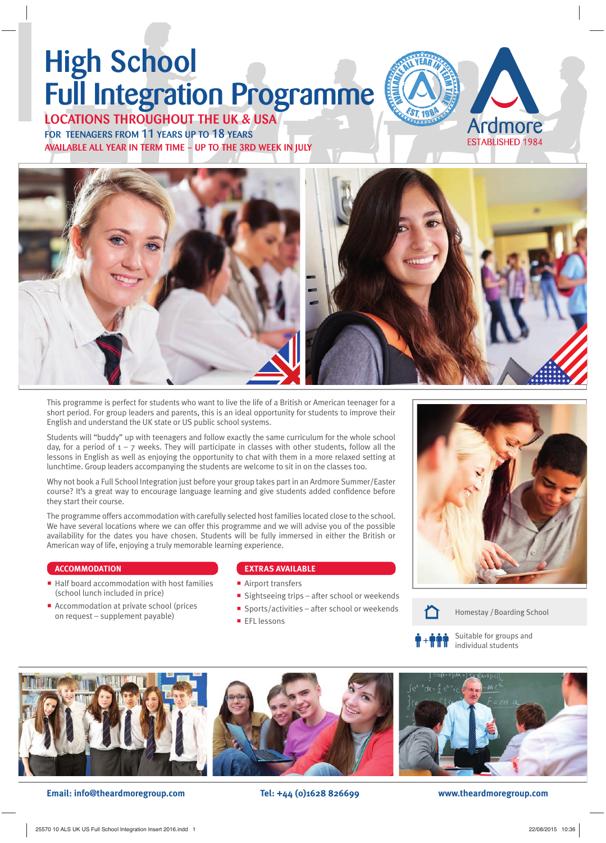# High School Full Integration Programme

LOCATIONS THROUGHOUT THE UK & USA FOR TEENAGERS FROM 11 YEARS UP TO 18 YEARS AVAILABLE ALL YEAR IN TERM TIME – UP TO THE 3RD WEEK IN JULY







This programme is perfect for students who want to live the life of a British or American teenager for a short period. For group leaders and parents, this is an ideal opportunity for students to improve their English and understand the UK state or US public school systems.

Students will "buddy" up with teenagers and follow exactly the same curriculum for the whole school day, for a period of  $1 - 7$  weeks. They will participate in classes with other students, follow all the lessons in English as well as enjoying the opportunity to chat with them in a more relaxed setting at lunchtime. Group leaders accompanying the students are welcome to sit in on the classes too.

Why not book a Full School Integration just before your group takes part in an Ardmore Summer/Easter course? It's a great way to encourage language learning and give students added confidence before they start their course.

The programme offers accommodation with carefully selected host families located close to the school. We have several locations where we can offer this programme and we will advise you of the possible availability for the dates you have chosen. Students will be fully immersed in either the British or American way of life, enjoying a truly memorable learning experience.

### **ACCOMMODATION**

- Half board accommodation with host families (school lunch included in price)
- Accommodation at private school (prices on request – supplement payable)

### **EXTRAS AVAILABLE**

- Airport transfers
- **Sightseeing trips after school or weekends**
- Sports/activities after school or weekends
- **EFL** lessons





Homestay / Boarding School



Suitable for groups and individual students